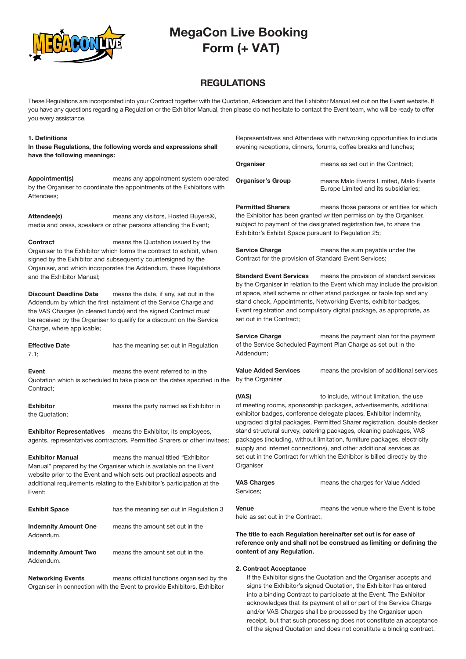

### REGULATIONS

These Regulations are incorporated into your Contract together with the Quotation, Addendum and the Exhibitor Manual set out on the Event website. If you have any questions regarding a Regulation or the Exhibitor Manual, then please do not hesitate to contact the Event team, who will be ready to offer you every assistance.

#### 1. Definitions

In these Regulations, the following words and expressions shall have the following meanings:

Appointment(s) means any appointment system operated by the Organiser to coordinate the appointments of the Exhibitors with Attendees;

Attendee(s) means any visitors, Hosted Buyers®, media and press, speakers or other persons attending the Event;

**Contract Contract** means the Quotation issued by the Organiser to the Exhibitor which forms the contract to exhibit, when signed by the Exhibitor and subsequently countersigned by the Organiser, and which incorporates the Addendum, these Regulations and the Exhibitor Manual;

Discount Deadline Date means the date, if any, set out in the Addendum by which the first instalment of the Service Charge and the VAS Charges (in cleared funds) and the signed Contract must be received by the Organiser to qualify for a discount on the Service Charge, where applicable;

**Effective Date** has the meaning set out in Regulation 7.1;

**Event** means the event referred to in the Quotation which is scheduled to take place on the dates specified in the Contract;

**Exhibitor** means the party named as Exhibitor in the Quotation;

Exhibitor Representatives means the Exhibitor, its employees, agents, representatives contractors, Permitted Sharers or other invitees;

Exhibitor Manual means the manual titled "Exhibitor Manual" prepared by the Organiser which is available on the Event website prior to the Event and which sets out practical aspects and additional requirements relating to the Exhibitor's participation at the Event;

### **Exhibit Space** has the meaning set out in Regulation 3

Indemnity Amount One means the amount set out in the Addendum.

Indemnity Amount Two means the amount set out in the Addendum.

Networking Events means official functions organised by the Organiser in connection with the Event to provide Exhibitors, Exhibitor

Representatives and Attendees with networking opportunities to include evening receptions, dinners, forums, coffee breaks and lunches;

| Organiser                | means as set out in the Contract;                                              |
|--------------------------|--------------------------------------------------------------------------------|
| <b>Organiser's Group</b> | means Malo Events Limited. Malo Events<br>Europe Limited and its subsidiaries; |

**Permitted Sharers** means those persons or entities for which the Exhibitor has been granted written permission by the Organiser, subject to payment of the designated registration fee, to share the Exhibitor's Exhibit Space pursuant to Regulation 25;

Service Charge means the sum payable under the Contract for the provision of Standard Event Services;

**Standard Event Services** means the provision of standard services by the Organiser in relation to the Event which may include the provision of space, shell scheme or other stand packages or table top and any stand check, Appointments, Networking Events, exhibitor badges, Event registration and compulsory digital package, as appropriate, as set out in the Contract;

Service Charge means the payment plan for the payment of the Service Scheduled Payment Plan Charge as set out in the Addendum;

Value Added Services means the provision of additional services by the Organiser

(VAS) to include, without limitation, the use of meeting rooms, sponsorship packages, advertisements, additional exhibitor badges, conference delegate places, Exhibitor indemnity, upgraded digital packages, Permitted Sharer registration, double decker stand structural survey, catering packages, cleaning packages, VAS packages (including, without limitation, furniture packages, electricity supply and internet connections), and other additional services as set out in the Contract for which the Exhibitor is billed directly by the **Organiser** 

**VAS Charges** means the charges for Value Added Services;

Venue means the venue where the Event is tobe held as set out in the Contract.

The title to each Regulation hereinafter set out is for ease of reference only and shall not be construed as limiting or defining the content of any Regulation.

#### 2. Contract Acceptance

If the Exhibitor signs the Quotation and the Organiser accepts and signs the Exhibitor's signed Quotation, the Exhibitor has entered into a binding Contract to participate at the Event. The Exhibitor acknowledges that its payment of all or part of the Service Charge and/or VAS Charges shall be processed by the Organiser upon receipt, but that such processing does not constitute an acceptance of the signed Quotation and does not constitute a binding contract.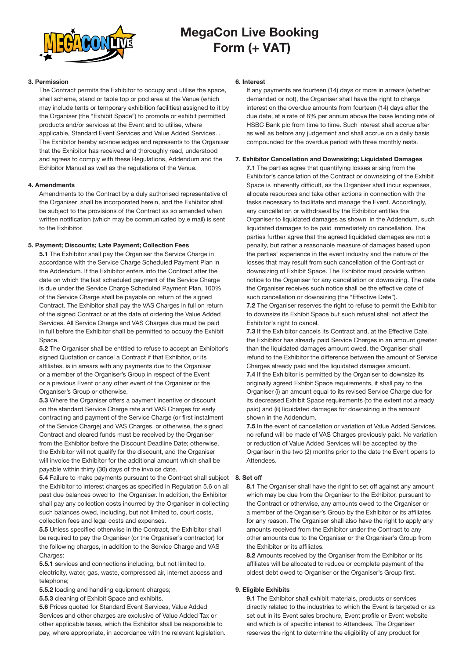

### 3. Permission

The Contract permits the Exhibitor to occupy and utilise the space, shell scheme, stand or table top or pod area at the Venue (which may include tents or temporary exhibition facilities) assigned to it by the Organiser (the "Exhibit Space") to promote or exhibit permitted products and/or services at the Event and to utilise, where applicable, Standard Event Services and Value Added Services. . The Exhibitor hereby acknowledges and represents to the Organiser that the Exhibitor has received and thoroughly read, understood and agrees to comply with these Regulations, Addendum and the Exhibitor Manual as well as the regulations of the Venue.

### 4. Amendments

Amendments to the Contract by a duly authorised representative of the Organiser shall be incorporated herein, and the Exhibitor shall be subject to the provisions of the Contract as so amended when written notification (which may be communicated by e mail) is sent to the Exhibitor.

### 5. Payment; Discounts; Late Payment; Collection Fees

5.1 The Exhibitor shall pay the Organiser the Service Charge in accordance with the Service Charge Scheduled Payment Plan in the Addendum. If the Exhibitor enters into the Contract after the date on which the last scheduled payment of the Service Charge is due under the Service Charge Scheduled Payment Plan, 100% of the Service Charge shall be payable on return of the signed Contract. The Exhibitor shall pay the VAS Charges in full on return of the signed Contract or at the date of ordering the Value Added Services. All Service Charge and VAS Charges due must be paid in full before the Exhibitor shall be permitted to occupy the Exhibit Space.

5.2 The Organiser shall be entitled to refuse to accept an Exhibitor's signed Quotation or cancel a Contract if that Exhibitor, or its affiliates, is in arrears with any payments due to the Organiser or a member of the Organiser's Group in respect of the Event or a previous Event or any other event of the Organiser or the Organiser's Group or otherwise.

5.3 Where the Organiser offers a payment incentive or discount on the standard Service Charge rate and VAS Charges for early contracting and payment of the Service Charge (or first instalment of the Service Charge) and VAS Charges, or otherwise, the signed Contract and cleared funds must be received by the Organiser from the Exhibitor before the Discount Deadline Date; otherwise, the Exhibitor will not qualify for the discount, and the Organiser will invoice the Exhibitor for the additional amount which shall be payable within thirty (30) days of the invoice date.

5.4 Failure to make payments pursuant to the Contract shall subject 8. Set off the Exhibitor to interest charges as specified in Regulation 5.6 on all past due balances owed to the Organiser. In addition, the Exhibitor shall pay any collection costs incurred by the Organiser in collecting such balances owed, including, but not limited to, court costs, collection fees and legal costs and expenses.

5.5 Unless specified otherwise in the Contract, the Exhibitor shall be required to pay the Organiser (or the Organiser's contractor) for the following charges, in addition to the Service Charge and VAS Charges:

5.5.1 services and connections including, but not limited to, electricity, water, gas, waste, compressed air, internet access and telephone;

5.5.2 loading and handling equipment charges;

5.5.3 cleaning of Exhibit Space and exhibits.

5.6 Prices quoted for Standard Event Services, Value Added Services and other charges are exclusive of Value Added Tax or other applicable taxes, which the Exhibitor shall be responsible to pay, where appropriate, in accordance with the relevant legislation.

### 6. Interest

If any payments are fourteen (14) days or more in arrears (whether demanded or not), the Organiser shall have the right to charge interest on the overdue amounts from fourteen (14) days after the due date, at a rate of 8% per annum above the base lending rate of HSBC Bank plc from time to time. Such interest shall accrue after as well as before any judgement and shall accrue on a daily basis compounded for the overdue period with three monthly rests.

### 7. Exhibitor Cancellation and Downsizing; Liquidated Damages

7.1 The parties agree that quantifying losses arising from the Exhibitor's cancellation of the Contract or downsizing of the Exhibit Space is inherently difficult, as the Organiser shall incur expenses. allocate resources and take other actions in connection with the tasks necessary to facilitate and manage the Event. Accordingly, any cancellation or withdrawal by the Exhibitor entitles the Organiser to liquidated damages as shown in the Addendum, such liquidated damages to be paid immediately on cancellation. The parties further agree that the agreed liquidated damages are not a penalty, but rather a reasonable measure of damages based upon the parties' experience in the event industry and the nature of the losses that may result from such cancellation of the Contract or downsizing of Exhibit Space. The Exhibitor must provide written notice to the Organiser for any cancellation or downsizing. The date the Organiser receives such notice shall be the effective date of such cancellation or downsizing (the "Effective Date").

7.2 The Organiser reserves the right to refuse to permit the Exhibitor to downsize its Exhibit Space but such refusal shall not affect the Exhibitor's right to cancel.

7.3 If the Exhibitor cancels its Contract and, at the Effective Date, the Exhibitor has already paid Service Charges in an amount greater than the liquidated damages amount owed, the Organiser shall refund to the Exhibitor the difference between the amount of Service Charges already paid and the liquidated damages amount. 7.4 If the Exhibitor is permitted by the Organiser to downsize its originally agreed Exhibit Space requirements, it shall pay to the

Organiser (i) an amount equal to its revised Service Charge due for its decreased Exhibit Space requirements (to the extent not already paid) and (ii) liquidated damages for downsizing in the amount shown in the Addendum.

7.5 In the event of cancellation or variation of Value Added Services, no refund will be made of VAS Charges previously paid. No variation or reduction of Value Added Services will be accepted by the Organiser in the two (2) months prior to the date the Event opens to Attendees.

8.1 The Organiser shall have the right to set off against any amount which may be due from the Organiser to the Exhibitor, pursuant to the Contract or otherwise, any amounts owed to the Organiser or a member of the Organiser's Group by the Exhibitor or its affiliates for any reason. The Organiser shall also have the right to apply any amounts received from the Exhibitor under the Contract to any other amounts due to the Organiser or the Organiser's Group from the Exhibitor or its affiliates.

8.2 Amounts received by the Organiser from the Exhibitor or its affiliates will be allocated to reduce or complete payment of the oldest debt owed to Organiser or the Organiser's Group first.

#### 9. Eligible Exhibits

9.1 The Exhibitor shall exhibit materials, products or services directly related to the industries to which the Event is targeted or as set out in its Event sales brochure, Event profile or Event website and which is of specific interest to Attendees. The Organiser reserves the right to determine the eligibility of any product for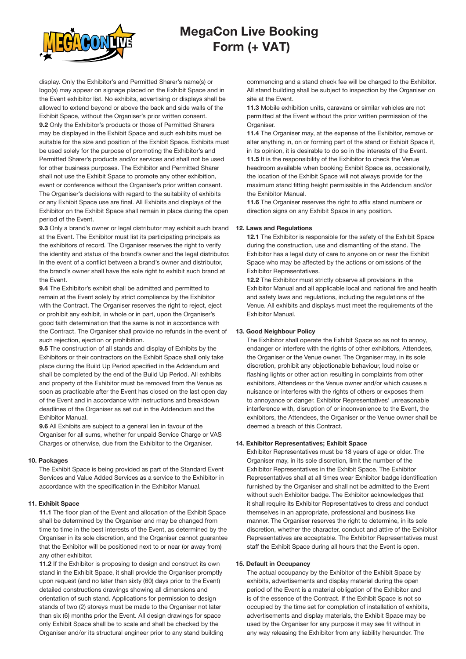

display. Only the Exhibitor's and Permitted Sharer's name(s) or logo(s) may appear on signage placed on the Exhibit Space and in the Event exhibitor list. No exhibits, advertising or displays shall be allowed to extend beyond or above the back and side walls of the Exhibit Space, without the Organiser's prior written consent. 9.2 Only the Exhibitor's products or those of Permitted Sharers may be displayed in the Exhibit Space and such exhibits must be suitable for the size and position of the Exhibit Space. Exhibits must be used solely for the purpose of promoting the Exhibitor's and Permitted Sharer's products and/or services and shall not be used for other business purposes. The Exhibitor and Permitted Sharer shall not use the Exhibit Space to promote any other exhibition, event or conference without the Organiser's prior written consent. The Organiser's decisions with regard to the suitability of exhibits or any Exhibit Space use are final. All Exhibits and displays of the Exhibitor on the Exhibit Space shall remain in place during the open period of the Event.

9.3 Only a brand's owner or legal distributor may exhibit such brand at the Event. The Exhibitor must list its participating principals as the exhibitors of record. The Organiser reserves the right to verify the identity and status of the brand's owner and the legal distributor. In the event of a conflict between a brand's owner and distributor, the brand's owner shall have the sole right to exhibit such brand at the Event.

9.4 The Exhibitor's exhibit shall be admitted and permitted to remain at the Event solely by strict compliance by the Exhibitor with the Contract. The Organiser reserves the right to reject, eject or prohibit any exhibit, in whole or in part, upon the Organiser's good faith determination that the same is not in accordance with the Contract. The Organiser shall provide no refunds in the event of such rejection, ejection or prohibition.

9.5 The construction of all stands and display of Exhibits by the Exhibitors or their contractors on the Exhibit Space shall only take place during the Build Up Period specified in the Addendum and shall be completed by the end of the Build Up Period. All exhibits and property of the Exhibitor must be removed from the Venue as soon as practicable after the Event has closed on the last open day of the Event and in accordance with instructions and breakdown deadlines of the Organiser as set out in the Addendum and the Exhibitor Manual.

9.6 All Exhibits are subject to a general lien in favour of the Organiser for all sums, whether for unpaid Service Charge or VAS Charges or otherwise, due from the Exhibitor to the Organiser.

#### 10. Packages

The Exhibit Space is being provided as part of the Standard Event Services and Value Added Services as a service to the Exhibitor in accordance with the specification in the Exhibitor Manual.

#### 11. Exhibit Space

11.1 The floor plan of the Event and allocation of the Exhibit Space shall be determined by the Organiser and may be changed from time to time in the best interests of the Event, as determined by the Organiser in its sole discretion, and the Organiser cannot guarantee that the Exhibitor will be positioned next to or near (or away from) any other exhibitor.

11.2 If the Exhibitor is proposing to design and construct its own stand in the Exhibit Space, it shall provide the Organiser promptly upon request (and no later than sixty (60) days prior to the Event) detailed constructions drawings showing all dimensions and orientation of such stand. Applications for permission to design stands of two (2) storeys must be made to the Organiser not later than six (6) months prior the Event. All design drawings for space only Exhibit Space shall be to scale and shall be checked by the Organiser and/or its structural engineer prior to any stand building

commencing and a stand check fee will be charged to the Exhibitor. All stand building shall be subject to inspection by the Organiser on site at the Event.

11.3 Mobile exhibition units, caravans or similar vehicles are not permitted at the Event without the prior written permission of the Organiser.

11.4 The Organiser may, at the expense of the Exhibitor, remove or alter anything in, on or forming part of the stand or Exhibit Space if, in its opinion, it is desirable to do so in the interests of the Event. 11.5 It is the responsibility of the Exhibitor to check the Venue headroom available when booking Exhibit Space as, occasionally, the location of the Exhibit Space will not always provide for the maximum stand fitting height permissible in the Addendum and/or the Exhibitor Manual.

11.6 The Organiser reserves the right to affix stand numbers or direction signs on any Exhibit Space in any position.

#### 12. Laws and Regulations

12.1 The Exhibitor is responsible for the safety of the Exhibit Space during the construction, use and dismantling of the stand. The Exhibitor has a legal duty of care to anyone on or near the Exhibit Space who may be affected by the actions or omissions of the Exhibitor Representatives.

12.2 The Exhibitor must strictly observe all provisions in the Exhibitor Manual and all applicable local and national fire and health and safety laws and regulations, including the regulations of the Venue. All exhibits and displays must meet the requirements of the Exhibitor Manual.

#### 13. Good Neighbour Policy

The Exhibitor shall operate the Exhibit Space so as not to annoy, endanger or interfere with the rights of other exhibitors, Attendees, the Organiser or the Venue owner. The Organiser may, in its sole discretion, prohibit any objectionable behaviour, loud noise or flashing lights or other action resulting in complaints from other exhibitors, Attendees or the Venue owner and/or which causes a nuisance or interferes with the rights of others or exposes them to annoyance or danger. Exhibitor Representatives' unreasonable interference with, disruption of or inconvenience to the Event, the exhibitors, the Attendees, the Organiser or the Venue owner shall be deemed a breach of this Contract.

#### 14. Exhibitor Representatives; Exhibit Space

Exhibitor Representatives must be 18 years of age or older. The Organiser may, in its sole discretion, limit the number of the Exhibitor Representatives in the Exhibit Space. The Exhibitor Representatives shall at all times wear Exhibitor badge identification furnished by the Organiser and shall not be admitted to the Event without such Exhibitor badge. The Exhibitor acknowledges that it shall require its Exhibitor Representatives to dress and conduct themselves in an appropriate, professional and business like manner. The Organiser reserves the right to determine, in its sole discretion, whether the character, conduct and attire of the Exhibitor Representatives are acceptable. The Exhibitor Representatives must staff the Exhibit Space during all hours that the Event is open.

#### 15. Default in Occupancy

The actual occupancy by the Exhibitor of the Exhibit Space by exhibits, advertisements and display material during the open period of the Event is a material obligation of the Exhibitor and is of the essence of the Contract. If the Exhibit Space is not so occupied by the time set for completion of installation of exhibits, advertisements and display materials, the Exhibit Space may be used by the Organiser for any purpose it may see fit without in any way releasing the Exhibitor from any liability hereunder. The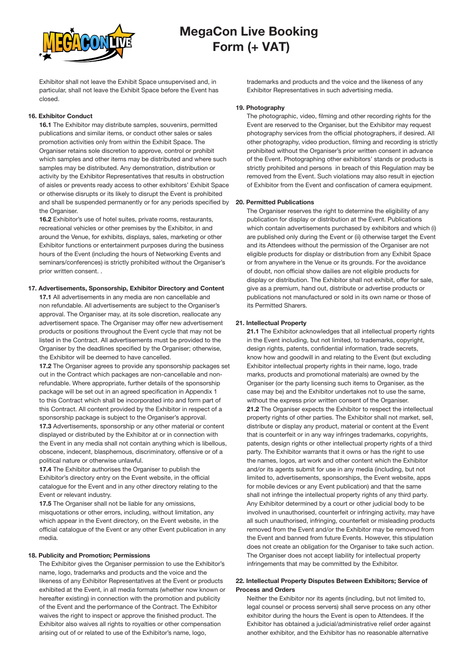

Exhibitor shall not leave the Exhibit Space unsupervised and, in particular, shall not leave the Exhibit Space before the Event has closed.

#### 16. Exhibitor Conduct

16.1 The Exhibitor may distribute samples, souvenirs, permitted publications and similar items, or conduct other sales or sales promotion activities only from within the Exhibit Space. The Organiser retains sole discretion to approve, control or prohibit which samples and other items may be distributed and where such samples may be distributed. Any demonstration, distribution or activity by the Exhibitor Representatives that results in obstruction of aisles or prevents ready access to other exhibitors' Exhibit Space or otherwise disrupts or its likely to disrupt the Event is prohibited and shall be suspended permanently or for any periods specified by the Organiser.

16.2 Exhibitor's use of hotel suites, private rooms, restaurants, recreational vehicles or other premises by the Exhibitor, in and around the Venue, for exhibits, displays, sales, marketing or other Exhibitor functions or entertainment purposes during the business hours of the Event (including the hours of Networking Events and seminars/conferences) is strictly prohibited without the Organiser's prior written consent. .

### 17. Advertisements, Sponsorship, Exhibitor Directory and Content

17.1 All advertisements in any media are non cancellable and non refundable. All advertisements are subject to the Organiser's approval. The Organiser may, at its sole discretion, reallocate any advertisement space. The Organiser may offer new advertisement products or positions throughout the Event cycle that may not be listed in the Contract. All advertisements must be provided to the Organiser by the deadlines specified by the Organiser; otherwise, the Exhibitor will be deemed to have cancelled.

17.2 The Organiser agrees to provide any sponsorship packages set out in the Contract which packages are non-cancellable and nonrefundable. Where appropriate, further details of the sponsorship package will be set out in an agreed specification in Appendix 1 to this Contract which shall be incorporated into and form part of this Contract. All content provided by the Exhibitor in respect of a sponsorship package is subject to the Organiser's approval.

17.3 Advertisements, sponsorship or any other material or content displayed or distributed by the Exhibitor at or in connection with the Event in any media shall not contain anything which is libellous, obscene, indecent, blasphemous, discriminatory, offensive or of a political nature or otherwise unlawful.

17.4 The Exhibitor authorises the Organiser to publish the Exhibitor's directory entry on the Event website, in the official catalogue for the Event and in any other directory relating to the Event or relevant industry.

17.5 The Organiser shall not be liable for any omissions, misquotations or other errors, including, without limitation, any which appear in the Event directory, on the Event website, in the official catalogue of the Event or any other Event publication in any media.

#### 18. Publicity and Promotion; Permissions

The Exhibitor gives the Organiser permission to use the Exhibitor's name, logo, trademarks and products and the voice and the likeness of any Exhibitor Representatives at the Event or products exhibited at the Event, in all media formats (whether now known or hereafter existing) in connection with the promotion and publicity of the Event and the performance of the Contract. The Exhibitor waives the right to inspect or approve the finished product. The Exhibitor also waives all rights to royalties or other compensation arising out of or related to use of the Exhibitor's name, logo,

trademarks and products and the voice and the likeness of any Exhibitor Representatives in such advertising media.

#### 19. Photography

The photographic, video, filming and other recording rights for the Event are reserved to the Organiser, but the Exhibitor may request photography services from the official photographers, if desired. All other photography, video production, filming and recording is strictly prohibited without the Organiser's prior written consent in advance of the Event. Photographing other exhibitors' stands or products is strictly prohibited and persons in breach of this Regulation may be removed from the Event. Such violations may also result in ejection of Exhibitor from the Event and confiscation of camera equipment.

#### 20. Permitted Publications

The Organiser reserves the right to determine the eligibility of any publication for display or distribution at the Event. Publications which contain advertisements purchased by exhibitors and which (i) are published only during the Event or (ii) otherwise target the Event and its Attendees without the permission of the Organiser are not eligible products for display or distribution from any Exhibit Space or from anywhere in the Venue or its grounds. For the avoidance of doubt, non official show dailies are not eligible products for display or distribution. The Exhibitor shall not exhibit, offer for sale, give as a premium, hand out, distribute or advertise products or publications not manufactured or sold in its own name or those of its Permitted Sharers.

#### 21. Intellectual Property

21.1 The Exhibitor acknowledges that all intellectual property rights in the Event including, but not limited, to trademarks, copyright, design rights, patents, confidential information, trade secrets, know how and goodwill in and relating to the Event (but excluding Exhibitor intellectual property rights in their name, logo, trade marks, products and promotional materials) are owned by the Organiser (or the party licensing such items to Organiser, as the case may be) and the Exhibitor undertakes not to use the same, without the express prior written consent of the Organiser. 21.2 The Organiser expects the Exhibitor to respect the intellectual property rights of other parties. The Exhibitor shall not market, sell, distribute or display any product, material or content at the Event that is counterfeit or in any way infringes trademarks, copyrights, patents, design rights or other intellectual property rights of a third party. The Exhibitor warrants that it owns or has the right to use the names, logos, art work and other content which the Exhibitor and/or its agents submit for use in any media (including, but not limited to, advertisements, sponsorships, the Event website, apps for mobile devices or any Event publication) and that the same shall not infringe the intellectual property rights of any third party. Any Exhibitor determined by a court or other judicial body to be involved in unauthorised, counterfeit or infringing activity, may have all such unauthorised, infringing, counterfeit or misleading products removed from the Event and/or the Exhibitor may be removed from the Event and banned from future Events. However, this stipulation does not create an obligation for the Organiser to take such action. The Organiser does not accept liability for intellectual property infringements that may be committed by the Exhibitor.

#### 22. Intellectual Property Disputes Between Exhibitors; Service of Process and Orders

Neither the Exhibitor nor its agents (including, but not limited to, legal counsel or process servers) shall serve process on any other exhibitor during the hours the Event is open to Attendees. If the Exhibitor has obtained a judicial/administrative relief order against another exhibitor, and the Exhibitor has no reasonable alternative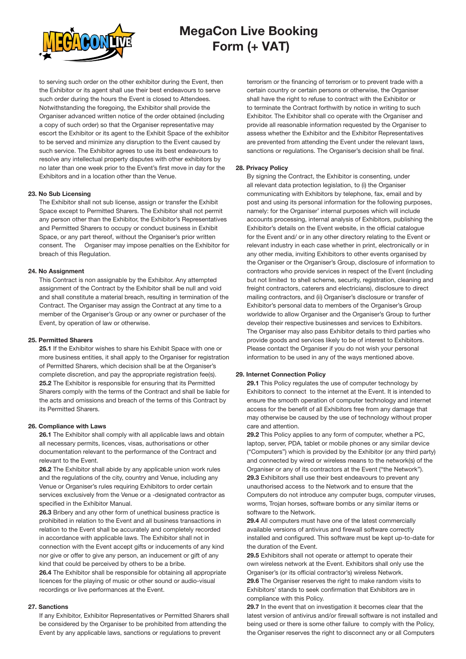

to serving such order on the other exhibitor during the Event, then the Exhibitor or its agent shall use their best endeavours to serve such order during the hours the Event is closed to Attendees. Notwithstanding the foregoing, the Exhibitor shall provide the Organiser advanced written notice of the order obtained (including a copy of such order) so that the Organiser representative may escort the Exhibitor or its agent to the Exhibit Space of the exhibitor to be served and minimize any disruption to the Event caused by such service. The Exhibitor agrees to use its best endeavours to resolve any intellectual property disputes with other exhibitors by no later than one week prior to the Event's first move in day for the Exhibitors and in a location other than the Venue.

#### 23. No Sub Licensing

The Exhibitor shall not sub license, assign or transfer the Exhibit Space except to Permitted Sharers. The Exhibitor shall not permit any person other than the Exhibitor, the Exhibitor's Representatives and Permitted Sharers to occupy or conduct business in Exhibit Space, or any part thereof, without the Organiser's prior written consent. The Organiser may impose penalties on the Exhibitor for breach of this Regulation.

#### 24. No Assignment

This Contract is non assignable by the Exhibitor. Any attempted assignment of the Contract by the Exhibitor shall be null and void and shall constitute a material breach, resulting in termination of the Contract. The Organiser may assign the Contract at any time to a member of the Organiser's Group or any owner or purchaser of the Event, by operation of law or otherwise.

#### 25. Permitted Sharers

25.1 If the Exhibitor wishes to share his Exhibit Space with one or more business entities, it shall apply to the Organiser for registration of Permitted Sharers, which decision shall be at the Organiser's complete discretion, and pay the appropriate registration fee(s). 25.2 The Exhibitor is responsible for ensuring that its Permitted Sharers comply with the terms of the Contract and shall be liable for the acts and omissions and breach of the terms of this Contract by its Permitted Sharers.

### 26. Compliance with Laws

26.1 The Exhibitor shall comply with all applicable laws and obtain all necessary permits, licences, visas, authorisations or other documentation relevant to the performance of the Contract and relevant to the Event.

26.2 The Exhibitor shall abide by any applicable union work rules and the regulations of the city, country and Venue, including any Venue or Organiser's rules requiring Exhibitors to order certain services exclusively from the Venue or a -designated contractor as specified in the Exhibitor Manual.

26.3 Bribery and any other form of unethical business practice is prohibited in relation to the Event and all business transactions in relation to the Event shall be accurately and completely recorded in accordance with applicable laws. The Exhibitor shall not in connection with the Event accept gifts or inducements of any kind nor give or offer to give any person, an inducement or gift of any kind that could be perceived by others to be a bribe.

26.4 The Exhibitor shall be responsible for obtaining all appropriate licences for the playing of music or other sound or audio-visual recordings or live performances at the Event.

#### 27. Sanctions

If any Exhibitor, Exhibitor Representatives or Permitted Sharers shall be considered by the Organiser to be prohibited from attending the Event by any applicable laws, sanctions or regulations to prevent

terrorism or the financing of terrorism or to prevent trade with a certain country or certain persons or otherwise, the Organiser shall have the right to refuse to contract with the Exhibitor or to terminate the Contract forthwith by notice in writing to such Exhibitor. The Exhibitor shall co operate with the Organiser and provide all reasonable information requested by the Organiser to assess whether the Exhibitor and the Exhibitor Representatives are prevented from attending the Event under the relevant laws, sanctions or regulations. The Organiser's decision shall be final.

#### 28. Privacy Policy

By signing the Contract, the Exhibitor is consenting, under all relevant data protection legislation, to (i) the Organiser communicating with Exhibitors by telephone, fax, email and by post and using its personal information for the following purposes, namely: for the Organiser' internal purposes which will include accounts processing, internal analysis of Exhibitors, publishing the Exhibitor's details on the Event website, in the official catalogue for the Event and/ or in any other directory relating to the Event or relevant industry in each case whether in print, electronically or in any other media, inviting Exhibitors to other events organised by the Organiser or the Organiser's Group, disclosure of information to contractors who provide services in respect of the Event (including but not limited to shell scheme, security, registration, cleaning and freight contractors, caterers and electricians), disclosure to direct mailing contractors, and (ii) Organiser's disclosure or transfer of Exhibitor's personal data to members of the Organiser's Group worldwide to allow Organiser and the Organiser's Group to further develop their respective businesses and services to Exhibitors. The Organiser may also pass Exhibitor details to third parties who provide goods and services likely to be of interest to Exhibitors. Please contact the Organiser if you do not wish your personal information to be used in any of the ways mentioned above.

#### 29. Internet Connection Policy

29.1 This Policy regulates the use of computer technology by Exhibitors to connect to the internet at the Event. It is intended to ensure the smooth operation of computer technology and internet access for the benefit of all Exhibitors free from any damage that may otherwise be caused by the use of technology without proper care and attention.

29.2 This Policy applies to any form of computer, whether a PC, laptop, server, PDA, tablet or mobile phones or any similar device ("Computers") which is provided by the Exhibitor (or any third party) and connected by wired or wireless means to the network(s) of the Organiser or any of its contractors at the Event ("the Network"). 29.3 Exhibitors shall use their best endeavours to prevent any unauthorised access to the Network and to ensure that the Computers do not introduce any computer bugs, computer viruses, worms, Trojan horses, software bombs or any similar items or software to the Network.

29.4 All computers must have one of the latest commercially available versions of antivirus and firewall software correctly installed and configured. This software must be kept up-to-date for the duration of the Event.

29.5 Exhibitors shall not operate or attempt to operate their own wireless network at the Event. Exhibitors shall only use the Organiser's (or its official contractor's) wireless Network.

29.6 The Organiser reserves the right to make random visits to Exhibitors' stands to seek confirmation that Exhibitors are in compliance with this Policy.

29.7 In the event that on investigation it becomes clear that the latest version of antivirus and/or firewall software is not installed and being used or there is some other failure to comply with the Policy, the Organiser reserves the right to disconnect any or all Computers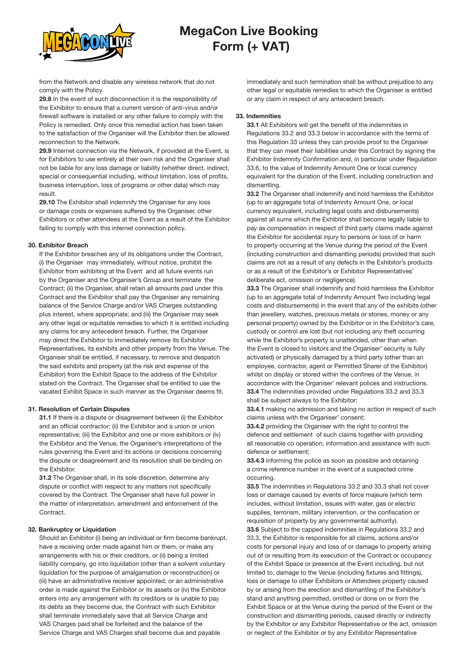

from the Network and disable any wireless network that do not comply with the Policy.

29.8 In the event of such disconnection it is the responsibility of the Exhibitor to ensure that a current version of anti-virus and/or firewall software is installed or any other failure to comply with the Policy is remedied. Only once this remedial action has been taken to the satisfaction of the Organiser will the Exhibitor then be allowed reconnection to the Network.

29.9 Internet connection via the Network, if provided at the Event, is for Exhibitors to use entirely at their own risk and the Organiser shall not be liable for any loss damage or liability (whether direct, indirect, special or consequential including, without limitation, loss of profits, business interruption, loss of programs or other data) which may result.

29.10 The Exhibitor shall indemnify the Organiser for any loss or damage costs or expenses suffered by the Organiser, other Exhibitors or other attendees at the Event as a result of the Exhibitor failing to comply with this internet connection policy.

#### 30. Exhibitor Breach

If the Exhibitor breaches any of its obligations under the Contract, (i) the Organiser may immediately, without notice, prohibit the Exhibitor from exhibiting at the Event and all future events run by the Organiser and the Organiser's Group and terminate the Contract; (ii) the Organiser, shall retain all amounts paid under this Contract and the Exhibitor shall pay the Organiser any remaining balance of the Service Charge and/or VAS Charges outstanding plus interest, where appropriate; and (iii) the Organiser may seek any other legal or equitable remedies to which it is entitled including any claims for any antecedent breach. Further, the Organiser may direct the Exhibitor to immediately remove its Exhibitor Representatives, its exhibits and other property from the Venue. The Organiser shall be entitled, if necessary, to remove and despatch the said exhibits and property (at the risk and expense of the Exhibitor) from the Exhibit Space to the address of the Exhibitor stated on the Contract. The Organiser shall be entitled to use the vacated Exhibit Space in such manner as the Organiser deems fit.

#### 31. Resolution of Certain Disputes

31.1 If there is a dispute or disagreement between (i) the Exhibitor and an official contractor; (ii) the Exhibitor and a union or union representative; (iii) the Exhibitor and one or more exhibitors or (iv) the Exhibitor and the Venue, the Organiser's interpretations of the rules governing the Event and its actions or decisions concerning the dispute or disagreement and its resolution shall be binding on the Exhibitor.

31.2 The Organiser shall, in its sole discretion, determine any dispute or conflict with respect to any matters not specifically covered by the Contract. The Organiser shall have full power in the matter of interpretation, amendment and enforcement of the Contract.

#### 32. Bankruptcy or Liquidation

Should an Exhibitor (i) being an individual or firm become bankrupt, have a receiving order made against him or them, or make any arrangements with his or their creditors, or (ii) being a limited liability company, go into liquidation (other than a solvent voluntary liquidation for the purpose of amalgamation or reconstruction) or (iii) have an administrative receiver appointed, or an administrative order is made against the Exhibitor or its assets or (iv) the Exhibitor enters into any arrangement with its creditors or is unable to pay its debts as they become due, the Contract with such Exhibitor shall terminate immediately save that all Service Charge and VAS Charges paid shall be forfeited and the balance of the Service Charge and VAS Charges shall become due and payable

immediately and such termination shall be without prejudice to any other legal or equitable remedies to which the Organiser is entitled or any claim in respect of any antecedent breach.

#### 33. Indemnities

33.1 All Exhibitors will get the benefit of the indemnities in Regulations 33.2 and 33.3 below in accordance with the terms of this Regulation 33 unless they can provide proof to the Organiser that they can meet their liabilities under this Contract by signing the Exhibitor Indemnity Confirmation and, in particular under Regulation 33.6, to the value of Indemnity Amount One or local currency equivalent for the duration of the Event, including construction and dismantling.

33.2 The Organiser shall indemnify and hold harmless the Exhibitor (up to an aggregate total of Indemnity Amount One, or local currency equivalent, including legal costs and disbursements) against all sums which the Exhibitor shall become legally liable to pay as compensation in respect of third party claims made against the Exhibitor for accidental injury to persons or loss of or harm to property occurring at the Venue during the period of the Event (including construction and dismantling periods) provided that such claims are not as a result of any defects in the Exhibitor's products or as a result of the Exhibitor's or Exhibitor Representatives' deliberate act, omission or negligence).

33.3 The Organiser shall indemnify and hold harmless the Exhibitor (up to an aggregate total of Indemnity Amount Two including legal costs and disbursements) in the event that any of the exhibits (other than jewellery, watches, precious metals or stones, money or any personal property) owned by the Exhibitor or in the Exhibitor's care, custody or control are lost (but not including any theft occurring while the Exhibitor's property is unattended, other than when the Event is closed to visitors and the Organiser' security is fully activated) or physically damaged by a third party (other than an employee, contractor, agent or Permitted Sharer of the Exhibitor) whilst on display or stored within the confines of the Venue, in accordance with the Organiser' relevant polices and instructions. 33.4 The indemnities provided under Regulations 33.2 and 33.3 shall be subject always to the Exhibitor:

33.4.1 making no admission and taking no action in respect of such claims unless with the Organiser' consent;

33.4.2 providing the Organiser with the right to control the defence and settlement of such claims together with providing all reasonable co operation, information and assistance with such defence or settlement;

33.4.3 informing the police as soon as possible and obtaining a crime reference number in the event of a suspected crime occurring.

33.5 The indemnities in Regulations 33.2 and 33.3 shall not cover loss or damage caused by events of force majeure (which term includes, without limitation, issues with water, gas or electric supplies, terrorism, military intervention, or the confiscation or requisition of property by any governmental authority). 33.6 Subject to the capped indemnities in Regulations 33.2 and 33.3, the Exhibitor is responsible for all claims, actions and/or costs for personal injury and loss of or damage to property arising out of or resulting from its execution of the Contract or occupancy of the Exhibit Space or presence at the Event including, but not limited to, damage to the Venue (including fixtures and fittings), loss or damage to other Exhibitors or Attendees property caused by or arising from the erection and dismantling of the Exhibitor's stand and anything permitted, omitted or done on or from the Exhibit Space or at the Venue during the period of the Event or the construction and dismantling periods, caused directly or indirectly by the Exhibitor or any Exhibitor Representative or the act, omission or neglect of the Exhibitor or by any Exhibitor Representative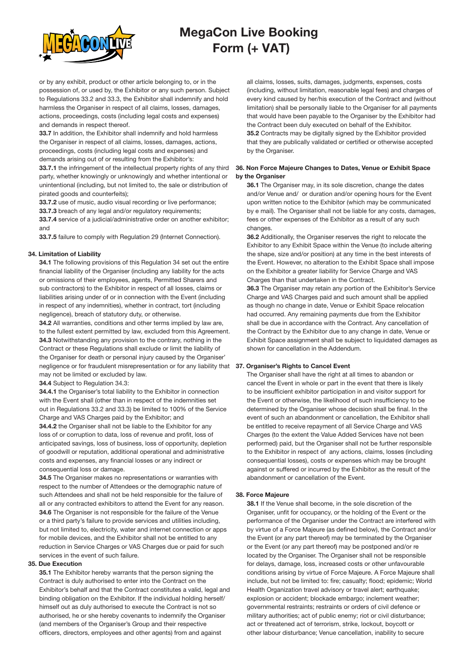

or by any exhibit, product or other article belonging to, or in the possession of, or used by, the Exhibitor or any such person. Subject to Regulations 33.2 and 33.3, the Exhibitor shall indemnify and hold harmless the Organiser in respect of all claims, losses, damages, actions, proceedings, costs (including legal costs and expenses) and demands in respect thereof.

33.7 In addition, the Exhibitor shall indemnify and hold harmless the Organiser in respect of all claims, losses, damages, actions, proceedings, costs (including legal costs and expenses) and demands arising out of or resulting from the Exhibitor's:

33.7.1 the infringement of the intellectual property rights of any third party, whether knowingly or unknowingly and whether intentional or unintentional (including, but not limited to, the sale or distribution of pirated goods and counterfeits);

33.7.2 use of music, audio visual recording or live performance;

33.7.3 breach of any legal and/or regulatory requirements;

33.7.4 service of a judicial/administrative order on another exhibitor; and

33.7.5 failure to comply with Regulation 29 (Internet Connection).

#### 34. Limitation of Liability

34.1 The following provisions of this Regulation 34 set out the entire financial liability of the Organiser (including any liability for the acts or omissions of their employees, agents, Permitted Sharers and sub contractors) to the Exhibitor in respect of all losses, claims or liabilities arising under of or in connection with the Event (including in respect of any indemnities), whether in contract, tort (including negligence), breach of statutory duty, or otherwise.

34.2 All warranties, conditions and other terms implied by law are, to the fullest extent permitted by law, excluded from this Agreement. 34.3 Notwithstanding any provision to the contrary, nothing in the Contract or these Regulations shall exclude or limit the liability of the Organiser for death or personal injury caused by the Organiser' negligence or for fraudulent misrepresentation or for any liability that 37. Organiser's Rights to Cancel Event may not be limited or excluded by law.

34.4 Subject to Regulation 34.3:

34.4.1 the Organiser's total liability to the Exhibitor in connection with the Event shall (other than in respect of the indemnities set out in Regulations 33.2 and 33.3) be limited to 100% of the Service Charge and VAS Charges paid by the Exhibitor; and

34.4.2 the Organiser shall not be liable to the Exhibitor for any loss of or corruption to data, loss of revenue and profit, loss of anticipated savings, loss of business, loss of opportunity, depletion of goodwill or reputation, additional operational and administrative costs and expenses, any financial losses or any indirect or consequential loss or damage.

34.5 The Organiser makes no representations or warranties with respect to the number of Attendees or the demographic nature of such Attendees and shall not be held responsible for the failure of all or any contracted exhibitors to attend the Event for any reason. 34.6 The Organiser is not responsible for the failure of the Venue or a third party's failure to provide services and utilities including, but not limited to, electricity, water and internet connection or apps for mobile devices, and the Exhibitor shall not be entitled to any reduction in Service Charges or VAS Charges due or paid for such services in the event of such failure.

#### 35. Due Execution

35.1 The Exhibitor hereby warrants that the person signing the Contract is duly authorised to enter into the Contract on the Exhibitor's behalf and that the Contract constitutes a valid, legal and binding obligation on the Exhibitor. If the individual holding herself/ himself out as duly authorised to execute the Contract is not so authorised, he or she hereby covenants to indemnify the Organiser (and members of the Organiser's Group and their respective officers, directors, employees and other agents) from and against

all claims, losses, suits, damages, judgments, expenses, costs (including, without limitation, reasonable legal fees) and charges of every kind caused by her/his execution of the Contract and (without limitation) shall be personally liable to the Organiser for all payments that would have been payable to the Organiser by the Exhibitor had the Contract been duly executed on behalf of the Exhibitor. 35.2 Contracts may be digitally signed by the Exhibitor provided that they are publically validated or certified or otherwise accepted by the Organiser.

#### 36. Non Force Majeure Changes to Dates, Venue or Exhibit Space by the Organiser

36.1 The Organiser may, in its sole discretion, change the dates and/or Venue and/ or duration and/or opening hours for the Event upon written notice to the Exhibitor (which may be communicated by e mail). The Organiser shall not be liable for any costs, damages, fees or other expenses of the Exhibitor as a result of any such changes.

36.2 Additionally, the Organiser reserves the right to relocate the Exhibitor to any Exhibit Space within the Venue (to include altering the shape, size and/or position) at any time in the best interests of the Event. However, no alteration to the Exhibit Space shall impose on the Exhibitor a greater liability for Service Charge and VAS Charges than that undertaken in the Contract.

36.3 The Organiser may retain any portion of the Exhibitor's Service Charge and VAS Charges paid and such amount shall be applied as though no change in date, Venue or Exhibit Space relocation had occurred. Any remaining payments due from the Exhibitor shall be due in accordance with the Contract. Any cancellation of the Contract by the Exhibitor due to any change in date, Venue or Exhibit Space assignment shall be subject to liquidated damages as shown for cancellation in the Addendum.

The Organiser shall have the right at all times to abandon or cancel the Event in whole or part in the event that there is likely to be insufficient exhibitor participation in and visitor support for the Event or otherwise, the likelihood of such insufficiency to be determined by the Organiser whose decision shall be final. In the event of such an abandonment or cancellation, the Exhibitor shall be entitled to receive repayment of all Service Charge and VAS Charges (to the extent the Value Added Services have not been performed) paid, but the Organiser shall not be further responsible to the Exhibitor in respect of any actions, claims, losses (including consequential losses), costs or expenses which may be brought against or suffered or incurred by the Exhibitor as the result of the abandonment or cancellation of the Event.

#### 38. Force Majeure

38.1 If the Venue shall become, in the sole discretion of the Organiser, unfit for occupancy, or the holding of the Event or the performance of the Organiser under the Contract are interfered with by virtue of a Force Majeure (as defined below), the Contract and/or the Event (or any part thereof) may be terminated by the Organiser or the Event (or any part thereof) may be postponed and/or re located by the Organiser. The Organiser shall not be responsible for delays, damage, loss, increased costs or other unfavourable conditions arising by virtue of Force Majeure. A Force Majeure shall include, but not be limited to: fire; casualty; flood; epidemic; World Health Organization travel advisory or travel alert; earthquake; explosion or accident; blockade embargo; inclement weather; governmental restraints; restraints or orders of civil defence or military authorities; act of public enemy; riot or civil disturbance; act or threatened act of terrorism, strike, lockout, boycott or other labour disturbance; Venue cancellation, inability to secure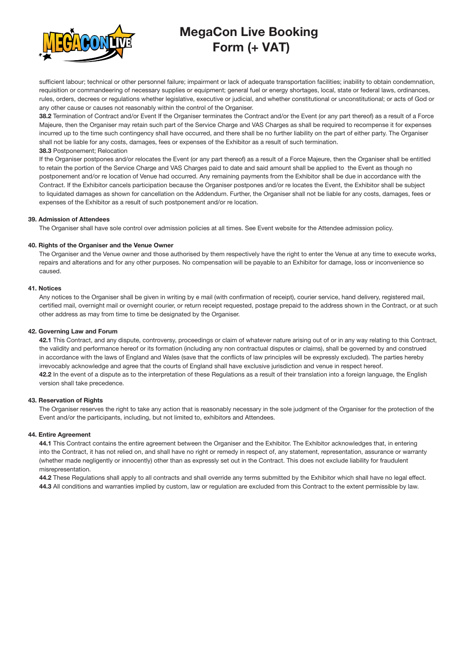

sufficient labour; technical or other personnel failure; impairment or lack of adequate transportation facilities; inability to obtain condemnation, requisition or commandeering of necessary supplies or equipment; general fuel or energy shortages, local, state or federal laws, ordinances, rules, orders, decrees or regulations whether legislative, executive or judicial, and whether constitutional or unconstitutional; or acts of God or any other cause or causes not reasonably within the control of the Organiser.

38.2 Termination of Contract and/or Event If the Organiser terminates the Contract and/or the Event (or any part thereof) as a result of a Force Majeure, then the Organiser may retain such part of the Service Charge and VAS Charges as shall be required to recompense it for expenses incurred up to the time such contingency shall have occurred, and there shall be no further liability on the part of either party. The Organiser shall not be liable for any costs, damages, fees or expenses of the Exhibitor as a result of such termination. 38.3 Postponement; Relocation

If the Organiser postpones and/or relocates the Event (or any part thereof) as a result of a Force Majeure, then the Organiser shall be entitled to retain the portion of the Service Charge and VAS Charges paid to date and said amount shall be applied to the Event as though no postponement and/or re location of Venue had occurred. Any remaining payments from the Exhibitor shall be due in accordance with the Contract. If the Exhibitor cancels participation because the Organiser postpones and/or re locates the Event, the Exhibitor shall be subject to liquidated damages as shown for cancellation on the Addendum. Further, the Organiser shall not be liable for any costs, damages, fees or expenses of the Exhibitor as a result of such postponement and/or re location.

#### 39. Admission of Attendees

The Organiser shall have sole control over admission policies at all times. See Event website for the Attendee admission policy.

#### 40. Rights of the Organiser and the Venue Owner

The Organiser and the Venue owner and those authorised by them respectively have the right to enter the Venue at any time to execute works, repairs and alterations and for any other purposes. No compensation will be payable to an Exhibitor for damage, loss or inconvenience so caused.

#### 41. Notices

Any notices to the Organiser shall be given in writing by e mail (with confirmation of receipt), courier service, hand delivery, registered mail, certified mail, overnight mail or overnight courier, or return receipt requested, postage prepaid to the address shown in the Contract, or at such other address as may from time to time be designated by the Organiser.

#### 42. Governing Law and Forum

42.1 This Contract, and any dispute, controversy, proceedings or claim of whatever nature arising out of or in any way relating to this Contract, the validity and performance hereof or its formation (including any non contractual disputes or claims), shall be governed by and construed in accordance with the laws of England and Wales (save that the conflicts of law principles will be expressly excluded). The parties hereby irrevocably acknowledge and agree that the courts of England shall have exclusive jurisdiction and venue in respect hereof. 42.2 In the event of a dispute as to the interpretation of these Regulations as a result of their translation into a foreign language, the English version shall take precedence.

#### 43. Reservation of Rights

The Organiser reserves the right to take any action that is reasonably necessary in the sole judgment of the Organiser for the protection of the Event and/or the participants, including, but not limited to, exhibitors and Attendees.

#### 44. Entire Agreement

44.1 This Contract contains the entire agreement between the Organiser and the Exhibitor. The Exhibitor acknowledges that, in entering into the Contract, it has not relied on, and shall have no right or remedy in respect of, any statement, representation, assurance or warranty (whether made negligently or innocently) other than as expressly set out in the Contract. This does not exclude liability for fraudulent misrepresentation.

44.2 These Regulations shall apply to all contracts and shall override any terms submitted by the Exhibitor which shall have no legal effect. 44.3 All conditions and warranties implied by custom, law or regulation are excluded from this Contract to the extent permissible by law.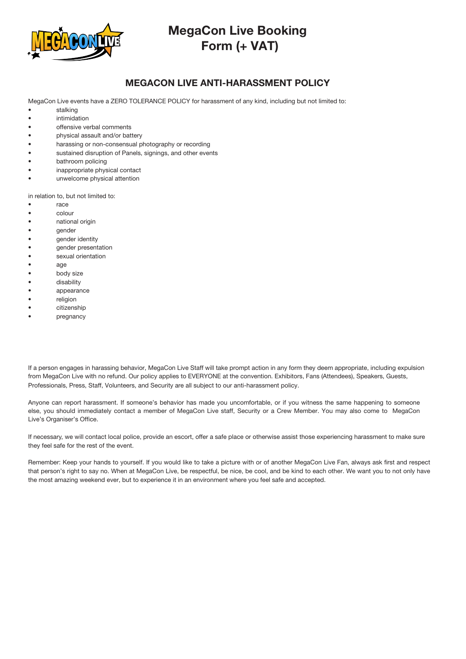

### MEGACON LIVE ANTI-HARASSMENT POLICY

MegaCon Live events have a ZERO TOLERANCE POLICY for harassment of any kind, including but not limited to:

- stalking
- intimidation
- offensive verbal comments
- physical assault and/or battery
- harassing or non-consensual photography or recording
- sustained disruption of Panels, signings, and other events
- bathroom policing
- inappropriate physical contact
- unwelcome physical attention

in relation to, but not limited to:

- race
- colour
- national origin
- **gender**
- gender identity
- gender presentation
- sexual orientation
- age
- body size
- disability
- appearance
- religion
- citizenship
- pregnancy

If a person engages in harassing behavior, MegaCon Live Staff will take prompt action in any form they deem appropriate, including expulsion from MegaCon Live with no refund. Our policy applies to EVERYONE at the convention. Exhibitors, Fans (Attendees), Speakers, Guests, Professionals, Press, Staff, Volunteers, and Security are all subject to our anti-harassment policy.

Anyone can report harassment. If someone's behavior has made you uncomfortable, or if you witness the same happening to someone else, you should immediately contact a member of MegaCon Live staff, Security or a Crew Member. You may also come to MegaCon Live's Organiser's Office.

If necessary, we will contact local police, provide an escort, offer a safe place or otherwise assist those experiencing harassment to make sure they feel safe for the rest of the event.

Remember: Keep your hands to yourself. If you would like to take a picture with or of another MegaCon Live Fan, always ask first and respect that person's right to say no. When at MegaCon Live, be respectful, be nice, be cool, and be kind to each other. We want you to not only have the most amazing weekend ever, but to experience it in an environment where you feel safe and accepted.